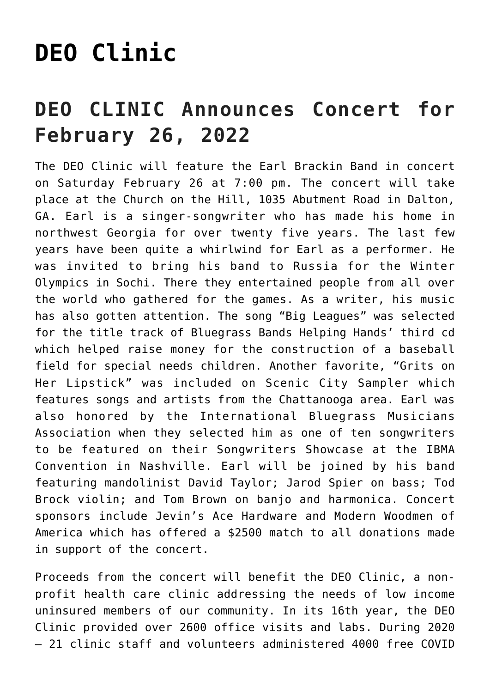## **[DEO Clinic](https://thebluegrassstandard.com/deo-clinic/)**

## **DEO CLINIC Announces Concert for February 26, 2022**

The DEO Clinic will feature the Earl Brackin Band in concert on Saturday February 26 at 7:00 pm. The concert will take place at the Church on the Hill, 1035 Abutment Road in Dalton, GA. Earl is a singer-songwriter who has made his home in northwest Georgia for over twenty five years. The last few years have been quite a whirlwind for Earl as a performer. He was invited to bring his band to Russia for the Winter Olympics in Sochi. There they entertained people from all over the world who gathered for the games. As a writer, his music has also gotten attention. The song "Big Leagues" was selected for the title track of Bluegrass Bands Helping Hands' third cd which helped raise money for the construction of a baseball field for special needs children. Another favorite, "Grits on Her Lipstick" was included on Scenic City Sampler which features songs and artists from the Chattanooga area. Earl was also honored by the International Bluegrass Musicians Association when they selected him as one of ten songwriters to be featured on their Songwriters Showcase at the IBMA Convention in Nashville. Earl will be joined by his band featuring mandolinist David Taylor; Jarod Spier on bass; Tod Brock violin; and Tom Brown on banjo and harmonica. Concert sponsors include Jevin's Ace Hardware and Modern Woodmen of America which has offered a \$2500 match to all donations made in support of the concert.

Proceeds from the concert will benefit the DEO Clinic, a nonprofit health care clinic addressing the needs of low income uninsured members of our community. In its 16th year, the DEO Clinic provided over 2600 office visits and labs. During 2020 – 21 clinic staff and volunteers administered 4000 free COVID